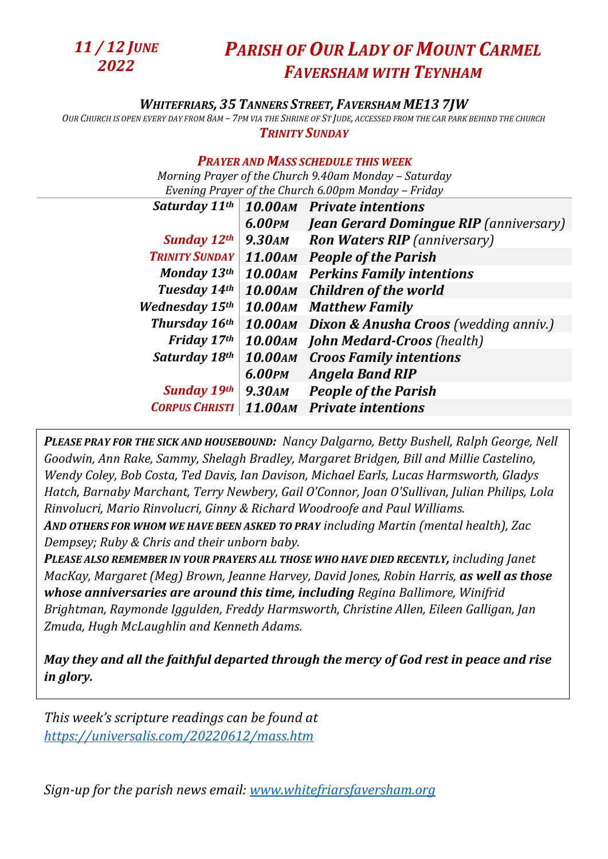

## *PARISH OF OUR LADY OF MOUNT CARMEL FAVERSHAM WITH TEYNHAM*

## *WHITEFRIARS, 35 TANNERS STREET, FAVERSHAM ME13 7JW*

OUR CHURCH IS OPEN EVERY DAY FROM 8AM - 7PM VIA THE SHRINE OF ST JUDE, ACCESSED FROM THE CAR PARK BEHIND THE CHURCH *TRINITY SUNDAY*

## *PRAYER AND MASS SCHEDULE THIS WEEK*

*Morning Prayer of the Church 9.40am Monday – Saturday Evening Prayer of the Church 6.00pm Monday – Friday* 

| Saturday 11th         |               | 10.00AM Private intentions                    |
|-----------------------|---------------|-----------------------------------------------|
|                       | <b>6.00PM</b> | <b>Jean Gerard Domingue RIP</b> (anniversary) |
| <b>Sunday 12th</b>    | 9.30am        | <b>Ron Waters RIP</b> (anniversary)           |
| <b>TRINITY SUNDAY</b> |               | 11.00AM People of the Parish                  |
| Monday 13th           |               | <b>10.00AM</b> Perkins Family intentions      |
| Tuesday 14th          |               | 10.00AM Children of the world                 |
| <b>Wednesday 15th</b> |               | <b>10.00AM</b> Matthew Family                 |
| Thursday 16th         |               | 10.00AM Dixon & Anusha Croos (wedding anniv.) |
| Friday 17th           |               | <b>10.00AM</b> John Medard-Croos (health)     |
| Saturday 18th         |               | <b>10.00AM</b> Croos Family intentions        |
|                       | 6.00PM        | <b>Angela Band RIP</b>                        |
| <b>Sunday 19th</b>    | 9.30am        | <b>People of the Parish</b>                   |
| <b>CORPUS CHRISTI</b> |               | 11.00AM Private intentions                    |

*PLEASE PRAY FOR THE SICK AND HOUSEBOUND: Nancy Dalgarno, Betty Bushell, Ralph George, Nell Goodwin, Ann Rake, Sammy, Shelagh Bradley, Margaret Bridgen, Bill and Millie Castelino, Wendy Coley, Bob Costa, Ted Davis, Ian Davison, Michael Earls, Lucas Harmsworth, Gladys Hatch, Barnaby Marchant, Terry Newbery, Gail O'Connor, Joan O'Sullivan, Julian Philips, Lola Rinvolucri, Mario Rinvolucri, Ginny & Richard Woodroofe and Paul Williams.* 

*AND OTHERS FOR WHOM WE HAVE BEEN ASKED TO PRAY including Martin (mental health), Zac Dempsey; Ruby & Chris and their unborn baby.*

*PLEASE ALSO REMEMBER IN YOUR PRAYERS ALL THOSE WHO HAVE DIED RECENTLY, including Janet MacKay, Margaret (Meg) Brown, Jeanne Harvey, David Jones, Robin Harris, as well as those whose anniversaries are around this time, including Regina Ballimore, Winifrid Brightman, Raymonde Iggulden, Freddy Harmsworth, Christine Allen, Eileen Galligan, Jan Zmuda, Hugh McLaughlin and Kenneth Adams.*

*May they and all the faithful departed through the mercy of God rest in peace and rise in glory.*

*This week's scripture readings can be found at <https://universalis.com/20220612/mass.htm>*

*Sign-up for the parish news email: [www.whitefriarsfaversham.org](http://www.whitefriarsfaversham.org/)*